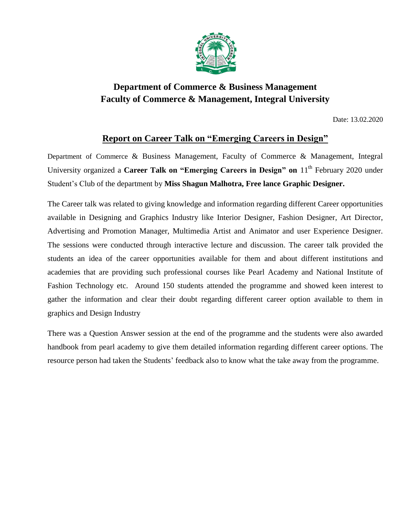

## **Department of Commerce & Business Management Faculty of Commerce & Management, Integral University**

Date: 13.02.2020

## **Report on Career Talk on "Emerging Careers in Design"**

Department of Commerce & Business Management, Faculty of Commerce & Management, Integral University organized a **Career Talk on "Emerging Careers in Design" on** 11th February 2020 under Student's Club of the department by **Miss Shagun Malhotra, Free lance Graphic Designer.**

The Career talk was related to giving knowledge and information regarding different Career opportunities available in Designing and Graphics Industry like Interior Designer, Fashion Designer, Art Director, Advertising and Promotion Manager, Multimedia Artist and Animator and user Experience Designer. The sessions were conducted through interactive lecture and discussion. The career talk provided the students an idea of the career opportunities available for them and about different institutions and academies that are providing such professional courses like Pearl Academy and National Institute of Fashion Technology etc. Around 150 students attended the programme and showed keen interest to gather the information and clear their doubt regarding different career option available to them in graphics and Design Industry

There was a Question Answer session at the end of the programme and the students were also awarded handbook from pearl academy to give them detailed information regarding different career options. The resource person had taken the Students' feedback also to know what the take away from the programme.